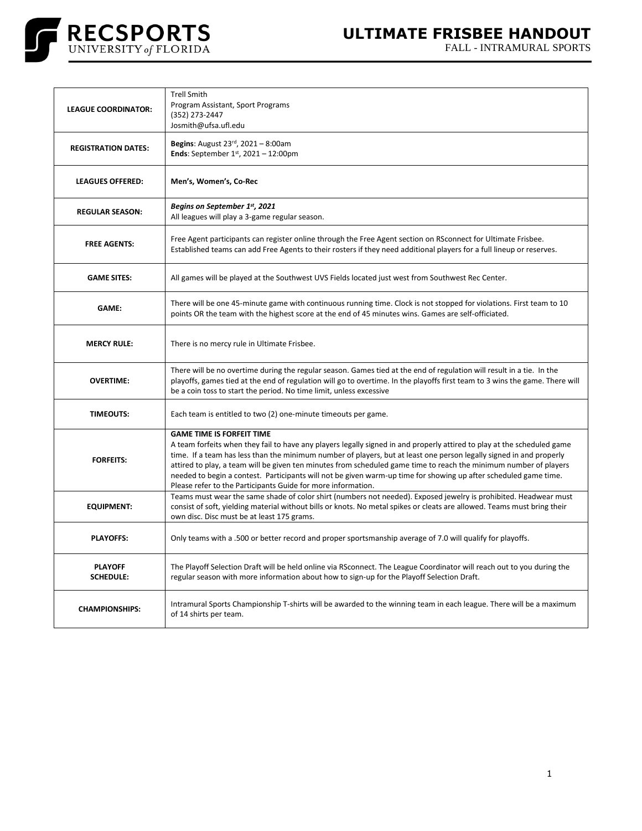

FALL - INTRAMURAL SPORTS

| <b>LEAGUE COORDINATOR:</b>         | <b>Trell Smith</b><br>Program Assistant, Sport Programs<br>(352) 273-2447<br>Josmith@ufsa.ufl.edu                                                                                                                                                                                                                                                                                                                                                                                                                                                                                           |
|------------------------------------|---------------------------------------------------------------------------------------------------------------------------------------------------------------------------------------------------------------------------------------------------------------------------------------------------------------------------------------------------------------------------------------------------------------------------------------------------------------------------------------------------------------------------------------------------------------------------------------------|
| <b>REGISTRATION DATES:</b>         | <b>Begins:</b> August $23^{rd}$ , $2021 - 8:00$ am<br>Ends: September $1^{st}$ , 2021 - 12:00pm                                                                                                                                                                                                                                                                                                                                                                                                                                                                                             |
| <b>LEAGUES OFFERED:</b>            | Men's, Women's, Co-Rec                                                                                                                                                                                                                                                                                                                                                                                                                                                                                                                                                                      |
| <b>REGULAR SEASON:</b>             | Begins on September 1st, 2021<br>All leagues will play a 3-game regular season.                                                                                                                                                                                                                                                                                                                                                                                                                                                                                                             |
| <b>FREE AGENTS:</b>                | Free Agent participants can register online through the Free Agent section on RSconnect for Ultimate Frisbee.<br>Established teams can add Free Agents to their rosters if they need additional players for a full lineup or reserves.                                                                                                                                                                                                                                                                                                                                                      |
| <b>GAME SITES:</b>                 | All games will be played at the Southwest UVS Fields located just west from Southwest Rec Center.                                                                                                                                                                                                                                                                                                                                                                                                                                                                                           |
| <b>GAME:</b>                       | There will be one 45-minute game with continuous running time. Clock is not stopped for violations. First team to 10<br>points OR the team with the highest score at the end of 45 minutes wins. Games are self-officiated.                                                                                                                                                                                                                                                                                                                                                                 |
| <b>MERCY RULE:</b>                 | There is no mercy rule in Ultimate Frisbee.                                                                                                                                                                                                                                                                                                                                                                                                                                                                                                                                                 |
| <b>OVERTIME:</b>                   | There will be no overtime during the regular season. Games tied at the end of regulation will result in a tie. In the<br>playoffs, games tied at the end of regulation will go to overtime. In the playoffs first team to 3 wins the game. There will<br>be a coin toss to start the period. No time limit, unless excessive                                                                                                                                                                                                                                                                |
| <b>TIMEOUTS:</b>                   | Each team is entitled to two (2) one-minute timeouts per game.                                                                                                                                                                                                                                                                                                                                                                                                                                                                                                                              |
| <b>FORFEITS:</b>                   | <b>GAME TIME IS FORFEIT TIME</b><br>A team forfeits when they fail to have any players legally signed in and properly attired to play at the scheduled game<br>time. If a team has less than the minimum number of players, but at least one person legally signed in and properly<br>attired to play, a team will be given ten minutes from scheduled game time to reach the minimum number of players<br>needed to begin a contest. Participants will not be given warm-up time for showing up after scheduled game time.<br>Please refer to the Participants Guide for more information. |
| <b>EQUIPMENT:</b>                  | Teams must wear the same shade of color shirt (numbers not needed). Exposed jewelry is prohibited. Headwear must<br>consist of soft, yielding material without bills or knots. No metal spikes or cleats are allowed. Teams must bring their<br>own disc. Disc must be at least 175 grams.                                                                                                                                                                                                                                                                                                  |
| <b>PLAYOFFS:</b>                   | Only teams with a .500 or better record and proper sportsmanship average of 7.0 will qualify for playoffs.                                                                                                                                                                                                                                                                                                                                                                                                                                                                                  |
| <b>PLAYOFF</b><br><b>SCHEDULE:</b> | The Playoff Selection Draft will be held online via RSconnect. The League Coordinator will reach out to you during the<br>regular season with more information about how to sign-up for the Playoff Selection Draft.                                                                                                                                                                                                                                                                                                                                                                        |
| <b>CHAMPIONSHIPS:</b>              | Intramural Sports Championship T-shirts will be awarded to the winning team in each league. There will be a maximum<br>of 14 shirts per team.                                                                                                                                                                                                                                                                                                                                                                                                                                               |